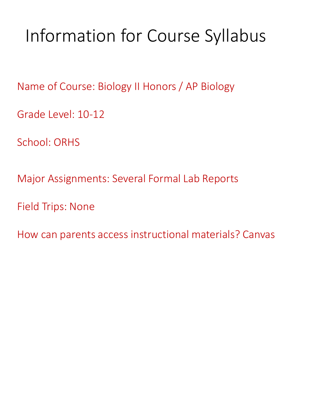# Information for Course Syllabus

Name of Course: Biology II Honors / AP Biology

Grade Level: 10-12

School: ORHS

Major Assignments: Several Formal Lab Reports

Field Trips: None

How can parents access instructional materials? Canvas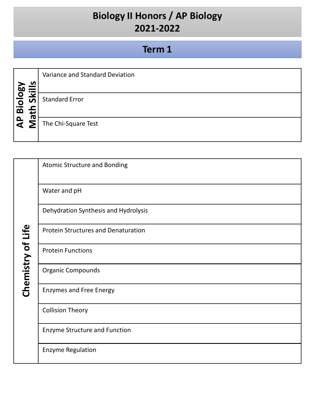|              |                          | Variance and Standard Deviation |
|--------------|--------------------------|---------------------------------|
|              | n                        |                                 |
| Biology      | $\checkmark$<br><b>S</b> | <b>Standard Error</b>           |
|              |                          |                                 |
| $\mathbf{a}$ | ω                        | The Chi-Square Test             |
|              |                          |                                 |

|                   | <b>Atomic Structure and Bonding</b>        |
|-------------------|--------------------------------------------|
|                   | Water and pH                               |
|                   | Dehydration Synthesis and Hydrolysis       |
| Chemistry of Life | <b>Protein Structures and Denaturation</b> |
|                   | <b>Protein Functions</b>                   |
|                   | <b>Organic Compounds</b>                   |
|                   | <b>Enzymes and Free Energy</b>             |
|                   | <b>Collision Theory</b>                    |
|                   | <b>Enzyme Structure and Function</b>       |
|                   | <b>Enzyme Regulation</b>                   |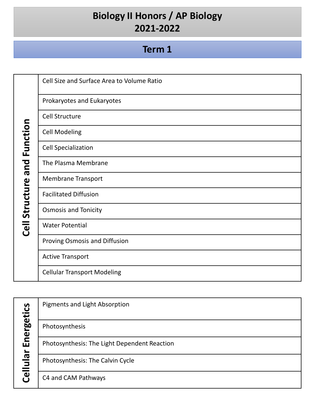| and Function   | Cell Size and Surface Area to Volume Ratio |
|----------------|--------------------------------------------|
|                | Prokaryotes and Eukaryotes                 |
|                | Cell Structure                             |
|                | <b>Cell Modeling</b>                       |
|                | <b>Cell Specialization</b>                 |
|                | The Plasma Membrane                        |
|                | <b>Membrane Transport</b>                  |
|                | <b>Facilitated Diffusion</b>               |
|                | <b>Osmosis and Tonicity</b>                |
| Cell Structure | <b>Water Potential</b>                     |
|                | Proving Osmosis and Diffusion              |
|                | <b>Active Transport</b>                    |
|                | <b>Cellular Transport Modeling</b>         |

|            | Pigments and Light Absorption                |
|------------|----------------------------------------------|
| Energetics | Photosynthesis                               |
|            | Photosynthesis: The Light Dependent Reaction |
| Cellular   | Photosynthesis: The Calvin Cycle             |
|            | C4 and CAM Pathways                          |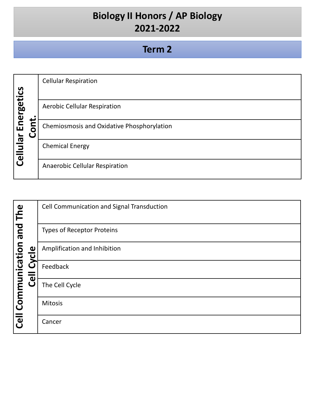|            |   | <b>Cellular Respiration</b>                |
|------------|---|--------------------------------------------|
|            |   |                                            |
| Energetics |   | <b>Aerobic Cellular Respiration</b>        |
|            | پ | Chemiosmosis and Oxidative Phosphorylation |
| $\vec{p}$  | 0 |                                            |
|            |   | <b>Chemical Energy</b>                     |
| Cellul     |   | Anaerobic Cellular Respiration             |
|            |   |                                            |

|                            |                                             | Cell Communication and Signal Transduction |
|----------------------------|---------------------------------------------|--------------------------------------------|
|                            |                                             | <b>Types of Receptor Proteins</b>          |
| Cell Communication and The | $\frac{1}{\sigma}$<br>><br>Ó<br><b>Cell</b> | Amplification and Inhibition               |
|                            |                                             | Feedback                                   |
|                            |                                             | The Cell Cycle                             |
|                            |                                             | Mitosis                                    |
|                            |                                             | Cancer                                     |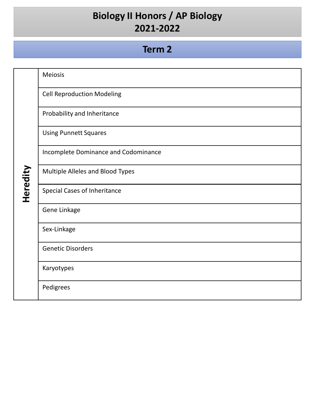|          | Meiosis                              |
|----------|--------------------------------------|
|          | <b>Cell Reproduction Modeling</b>    |
|          | Probability and Inheritance          |
|          | <b>Using Punnett Squares</b>         |
|          | Incomplete Dominance and Codominance |
| Heredity | Multiple Alleles and Blood Types     |
|          | Special Cases of Inheritance         |
|          | Gene Linkage                         |
|          | Sex-Linkage                          |
|          | <b>Genetic Disorders</b>             |
|          | Karyotypes                           |
|          | Pedigrees                            |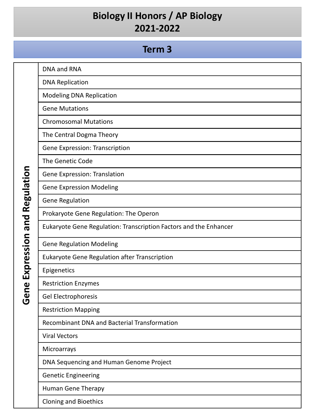|                              | DNA and RNA                                                       |
|------------------------------|-------------------------------------------------------------------|
|                              | <b>DNA Replication</b>                                            |
|                              | <b>Modeling DNA Replication</b>                                   |
|                              | <b>Gene Mutations</b>                                             |
|                              | <b>Chromosomal Mutations</b>                                      |
|                              | The Central Dogma Theory                                          |
| Regulation<br>Expression and | Gene Expression: Transcription                                    |
|                              | The Genetic Code                                                  |
|                              | Gene Expression: Translation                                      |
|                              | <b>Gene Expression Modeling</b>                                   |
|                              | <b>Gene Regulation</b>                                            |
|                              | Prokaryote Gene Regulation: The Operon                            |
|                              | Eukaryote Gene Regulation: Transcription Factors and the Enhancer |
|                              | <b>Gene Regulation Modeling</b>                                   |
|                              | Eukaryote Gene Regulation after Transcription                     |
|                              | Epigenetics                                                       |
|                              | <b>Restriction Enzymes</b>                                        |
| Gene                         | Gel Electrophoresis                                               |
|                              | <b>Restriction Mapping</b>                                        |
|                              | <b>Recombinant DNA and Bacterial Transformation</b>               |
|                              | <b>Viral Vectors</b>                                              |
|                              | Microarrays                                                       |
|                              | DNA Sequencing and Human Genome Project                           |
|                              | <b>Genetic Engineering</b>                                        |
|                              | Human Gene Therapy                                                |
|                              | <b>Cloning and Bioethics</b>                                      |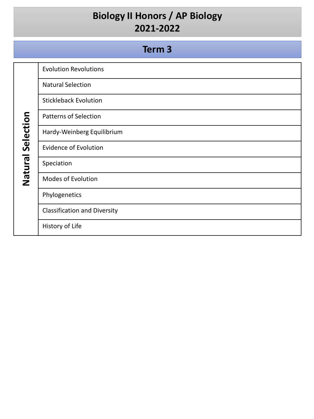|                   | Term <sub>3</sub>                   |
|-------------------|-------------------------------------|
|                   | <b>Evolution Revolutions</b>        |
|                   | <b>Natural Selection</b>            |
|                   | <b>Stickleback Evolution</b>        |
|                   | <b>Patterns of Selection</b>        |
| Natural Selection | Hardy-Weinberg Equilibrium          |
|                   | <b>Evidence of Evolution</b>        |
|                   | Speciation                          |
|                   | Modes of Evolution                  |
|                   | Phylogenetics                       |
|                   | <b>Classification and Diversity</b> |
|                   | History of Life                     |